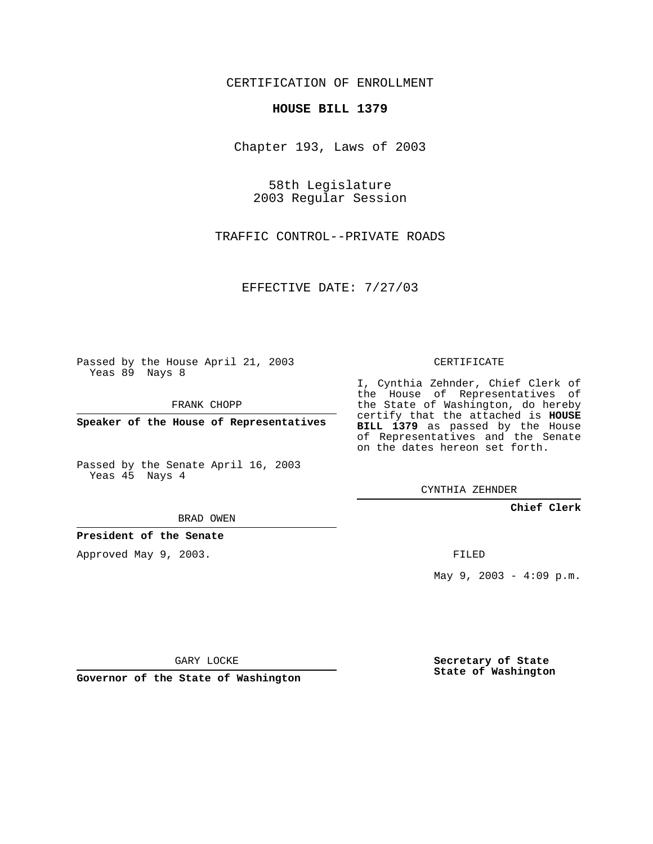CERTIFICATION OF ENROLLMENT

## **HOUSE BILL 1379**

Chapter 193, Laws of 2003

58th Legislature 2003 Regular Session

TRAFFIC CONTROL--PRIVATE ROADS

EFFECTIVE DATE: 7/27/03

Passed by the House April 21, 2003 Yeas 89 Nays 8

FRANK CHOPP

**Speaker of the House of Representatives**

Passed by the Senate April 16, 2003 Yeas 45 Nays 4

BRAD OWEN

**President of the Senate**

Approved May 9, 2003.

CERTIFICATE

I, Cynthia Zehnder, Chief Clerk of the House of Representatives of the State of Washington, do hereby certify that the attached is **HOUSE BILL 1379** as passed by the House of Representatives and the Senate on the dates hereon set forth.

CYNTHIA ZEHNDER

**Chief Clerk**

FILED

May  $9, 2003 - 4:09 \text{ p.m.}$ 

GARY LOCKE

**Governor of the State of Washington**

**Secretary of State State of Washington**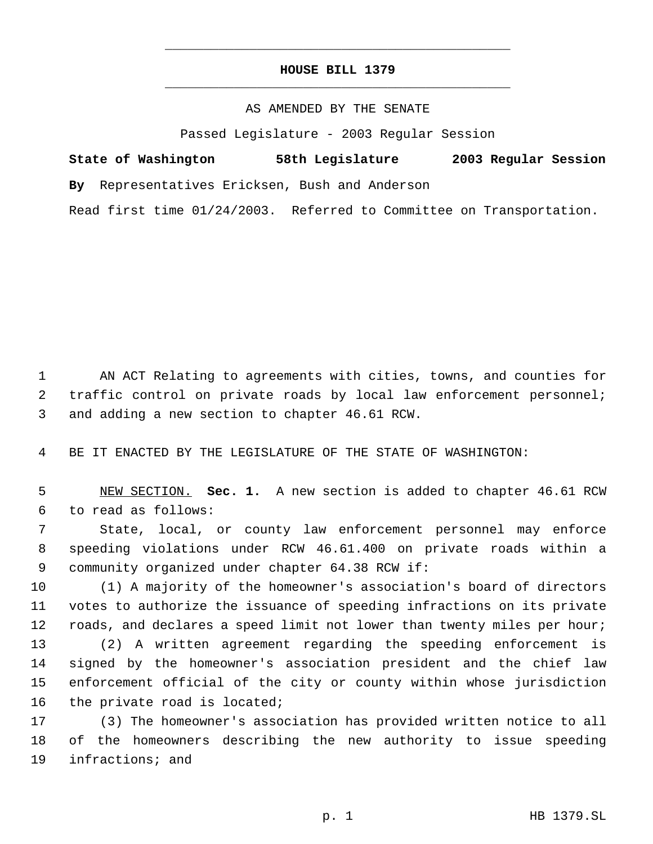## **HOUSE BILL 1379** \_\_\_\_\_\_\_\_\_\_\_\_\_\_\_\_\_\_\_\_\_\_\_\_\_\_\_\_\_\_\_\_\_\_\_\_\_\_\_\_\_\_\_\_\_

\_\_\_\_\_\_\_\_\_\_\_\_\_\_\_\_\_\_\_\_\_\_\_\_\_\_\_\_\_\_\_\_\_\_\_\_\_\_\_\_\_\_\_\_\_

## AS AMENDED BY THE SENATE

Passed Legislature - 2003 Regular Session

|  | State of Washington                            |  | 58th Legislature | 2003 Regular Session |  |
|--|------------------------------------------------|--|------------------|----------------------|--|
|  | By Representatives Ericksen, Bush and Anderson |  |                  |                      |  |

Read first time 01/24/2003. Referred to Committee on Transportation.

 AN ACT Relating to agreements with cities, towns, and counties for traffic control on private roads by local law enforcement personnel; and adding a new section to chapter 46.61 RCW.

BE IT ENACTED BY THE LEGISLATURE OF THE STATE OF WASHINGTON:

 NEW SECTION. **Sec. 1.** A new section is added to chapter 46.61 RCW to read as follows:

 State, local, or county law enforcement personnel may enforce speeding violations under RCW 46.61.400 on private roads within a community organized under chapter 64.38 RCW if:

 (1) A majority of the homeowner's association's board of directors votes to authorize the issuance of speeding infractions on its private roads, and declares a speed limit not lower than twenty miles per hour;

 (2) A written agreement regarding the speeding enforcement is signed by the homeowner's association president and the chief law enforcement official of the city or county within whose jurisdiction the private road is located;

 (3) The homeowner's association has provided written notice to all of the homeowners describing the new authority to issue speeding infractions; and